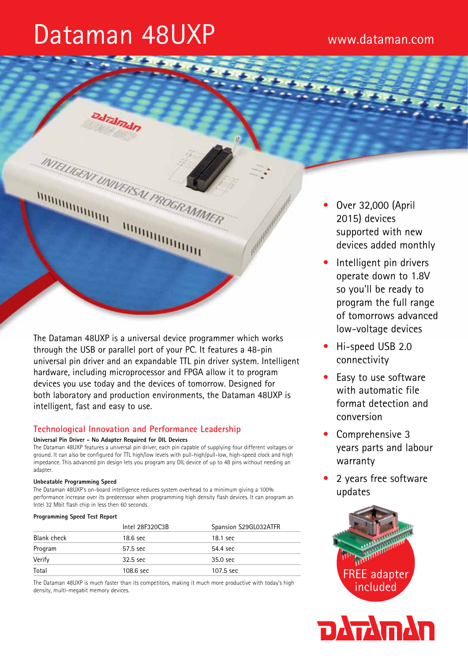# Dataman 48UXP www.dataman.com

Dal Talmain

TELLIGENT UNIVERSAL PROGRAMM

The Dataman 48UXP is a universal device programmer which works through the USB or parallel port of your PC. It features a 48-pin universal pin driver and an expandable TTL pin driver system. Intelligent hardware, including microprocessor and FPGA allow it to program devices you use today and the devices of tomorrow. Designed for both laboratory and production environments, the Dataman 48UXP is intelligent, fast and easy to use.

**BOULDING ASSESS** 

# **Technological Innovation and Performance Leadership**

#### **Universal Pin Driver - No Adapter Required for DIL Devices**

The Dataman 48UXP features a universal pin driver, each pin capable of supplying four different voltages or ground. It can also be configured for TTL high/low levels with pull-high/pull-low, high-speed clock and high impedance. This advanced pin design lets you program any DIL device of up to 48 pins without needing an adapter.

## **Unbeatable Programming Speed**

*MARTARA MARTIN* 

The Dataman 48UXP's on-board intelligence reduces system overhead to a minimum giving a 100% performance increase over its predecessor when programming high density flash devices. It can program an Intel 32 Mbit flash chip in less then 60 seconds.

#### **Programming Speed Test Report**

|             | Intel 28F320C3B | Spansion S29GL032ATFR |
|-------------|-----------------|-----------------------|
| Blank check | 18.6 sec        | 18.1 sec              |
| Program     | 57.5 sec        | 54.4 sec              |
| Verify      | $32.5$ sec      | 35.0 sec              |
| Total       | 108.6 sec       | 107.5 sec             |

The Dataman 48UXP is much faster than its competitors, making it much more productive with today's high density, multi-megabit memory devices.

- Over 32,000 (April 2015) devices supported with new devices added monthly
- Intelligent pin drivers operate down to 1.8V so you'll be ready to program the full range of tomorrows advanced low-voltage devices
- Hi-speed USB 2.0 connectivity
- Easy to use software with automatic file format detection and conversion
- Comprehensive 3 years parts and labour warranty
- 2 years free software updates